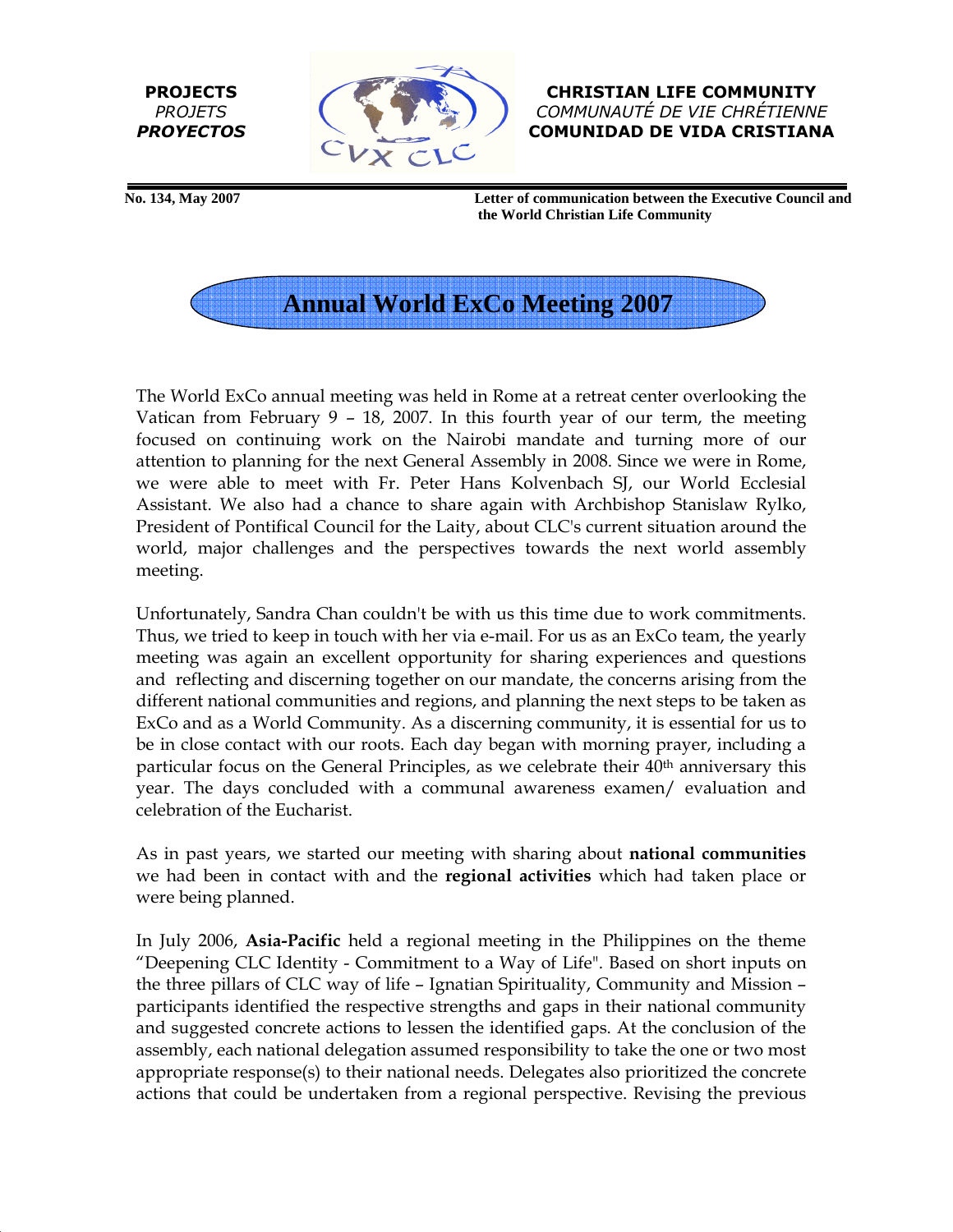PROJECTS **PROJETS** PROYECTOS



CHRISTIAN LIFE COMMUNITY COMMUNAUTÉ DE VIE CHRÉTIENNE COMUNIDAD DE VIDA CRISTIANA

 **No. 134, May 2007 Letter of communication between the Executive Council and the World Christian Life Community** 



The World ExCo annual meeting was held in Rome at a retreat center overlooking the Vatican from February 9 – 18, 2007. In this fourth year of our term, the meeting focused on continuing work on the Nairobi mandate and turning more of our attention to planning for the next General Assembly in 2008. Since we were in Rome, we were able to meet with Fr. Peter Hans Kolvenbach SJ, our World Ecclesial Assistant. We also had a chance to share again with Archbishop Stanislaw Rylko, President of Pontifical Council for the Laity, about CLC's current situation around the world, major challenges and the perspectives towards the next world assembly meeting.

Unfortunately, Sandra Chan couldn't be with us this time due to work commitments. Thus, we tried to keep in touch with her via e-mail. For us as an ExCo team, the yearly meeting was again an excellent opportunity for sharing experiences and questions and reflecting and discerning together on our mandate, the concerns arising from the different national communities and regions, and planning the next steps to be taken as ExCo and as a World Community. As a discerning community, it is essential for us to be in close contact with our roots. Each day began with morning prayer, including a particular focus on the General Principles, as we celebrate their 40<sup>th</sup> anniversary this year. The days concluded with a communal awareness examen/ evaluation and celebration of the Eucharist.

As in past years, we started our meeting with sharing about national communities we had been in contact with and the **regional activities** which had taken place or were being planned.

In July 2006, Asia-Pacific held a regional meeting in the Philippines on the theme "Deepening CLC Identity - Commitment to a Way of Life". Based on short inputs on the three pillars of CLC way of life – Ignatian Spirituality, Community and Mission – participants identified the respective strengths and gaps in their national community and suggested concrete actions to lessen the identified gaps. At the conclusion of the assembly, each national delegation assumed responsibility to take the one or two most appropriate response(s) to their national needs. Delegates also prioritized the concrete actions that could be undertaken from a regional perspective. Revising the previous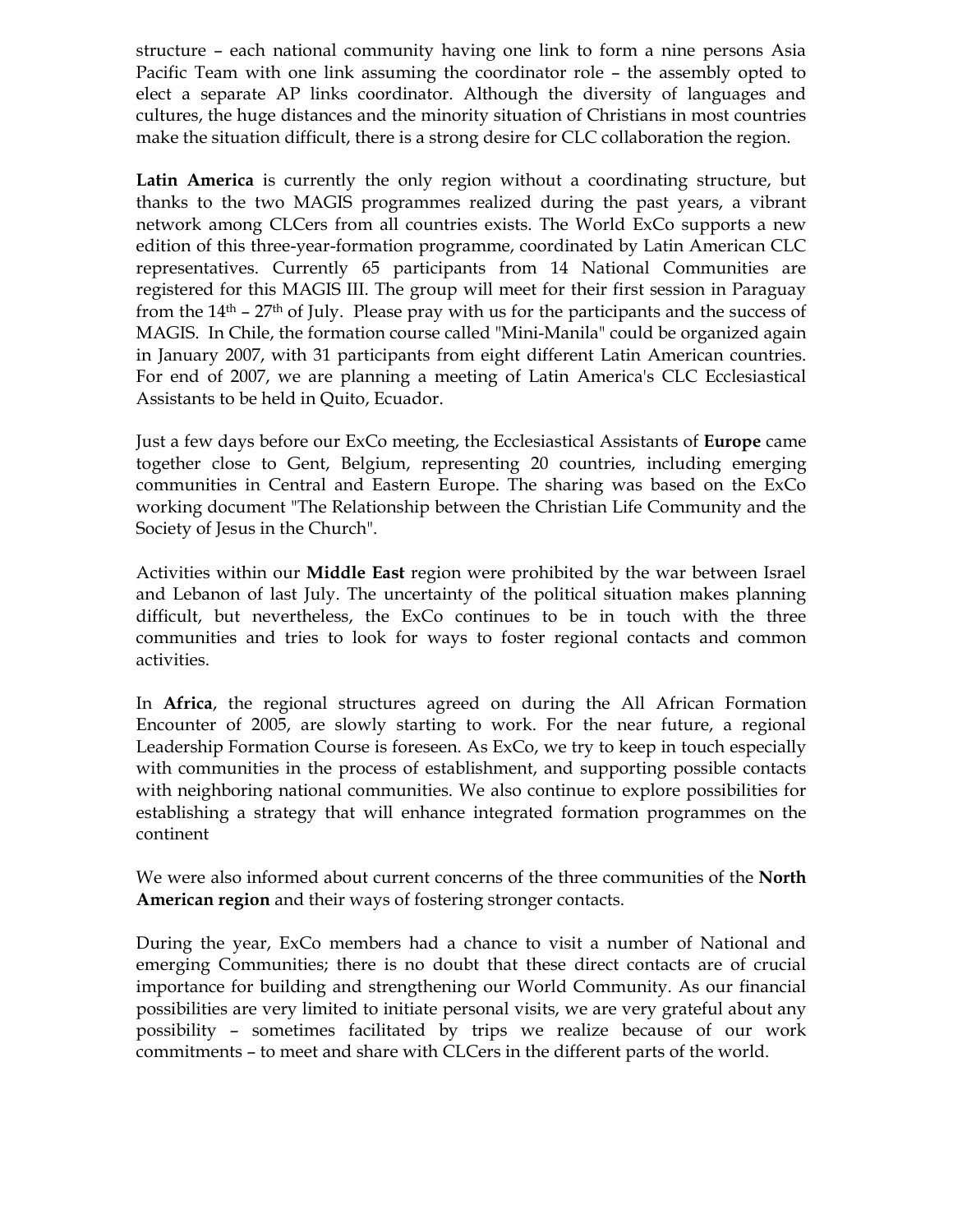structure – each national community having one link to form a nine persons Asia Pacific Team with one link assuming the coordinator role – the assembly opted to elect a separate AP links coordinator. Although the diversity of languages and cultures, the huge distances and the minority situation of Christians in most countries make the situation difficult, there is a strong desire for CLC collaboration the region.

Latin America is currently the only region without a coordinating structure, but thanks to the two MAGIS programmes realized during the past years, a vibrant network among CLCers from all countries exists. The World ExCo supports a new edition of this three-year-formation programme, coordinated by Latin American CLC representatives. Currently 65 participants from 14 National Communities are registered for this MAGIS III. The group will meet for their first session in Paraguay from the  $14<sup>th</sup>$  –  $27<sup>th</sup>$  of July. Please pray with us for the participants and the success of MAGIS. In Chile, the formation course called "Mini-Manila" could be organized again in January 2007, with 31 participants from eight different Latin American countries. For end of 2007, we are planning a meeting of Latin America's CLC Ecclesiastical Assistants to be held in Quito, Ecuador.

Just a few days before our ExCo meeting, the Ecclesiastical Assistants of Europe came together close to Gent, Belgium, representing 20 countries, including emerging communities in Central and Eastern Europe. The sharing was based on the ExCo working document "The Relationship between the Christian Life Community and the Society of Jesus in the Church".

Activities within our Middle East region were prohibited by the war between Israel and Lebanon of last July. The uncertainty of the political situation makes planning difficult, but nevertheless, the ExCo continues to be in touch with the three communities and tries to look for ways to foster regional contacts and common activities.

In Africa, the regional structures agreed on during the All African Formation Encounter of 2005, are slowly starting to work. For the near future, a regional Leadership Formation Course is foreseen. As ExCo, we try to keep in touch especially with communities in the process of establishment, and supporting possible contacts with neighboring national communities. We also continue to explore possibilities for establishing a strategy that will enhance integrated formation programmes on the continent

We were also informed about current concerns of the three communities of the North American region and their ways of fostering stronger contacts.

During the year, ExCo members had a chance to visit a number of National and emerging Communities; there is no doubt that these direct contacts are of crucial importance for building and strengthening our World Community. As our financial possibilities are very limited to initiate personal visits, we are very grateful about any possibility – sometimes facilitated by trips we realize because of our work commitments – to meet and share with CLCers in the different parts of the world.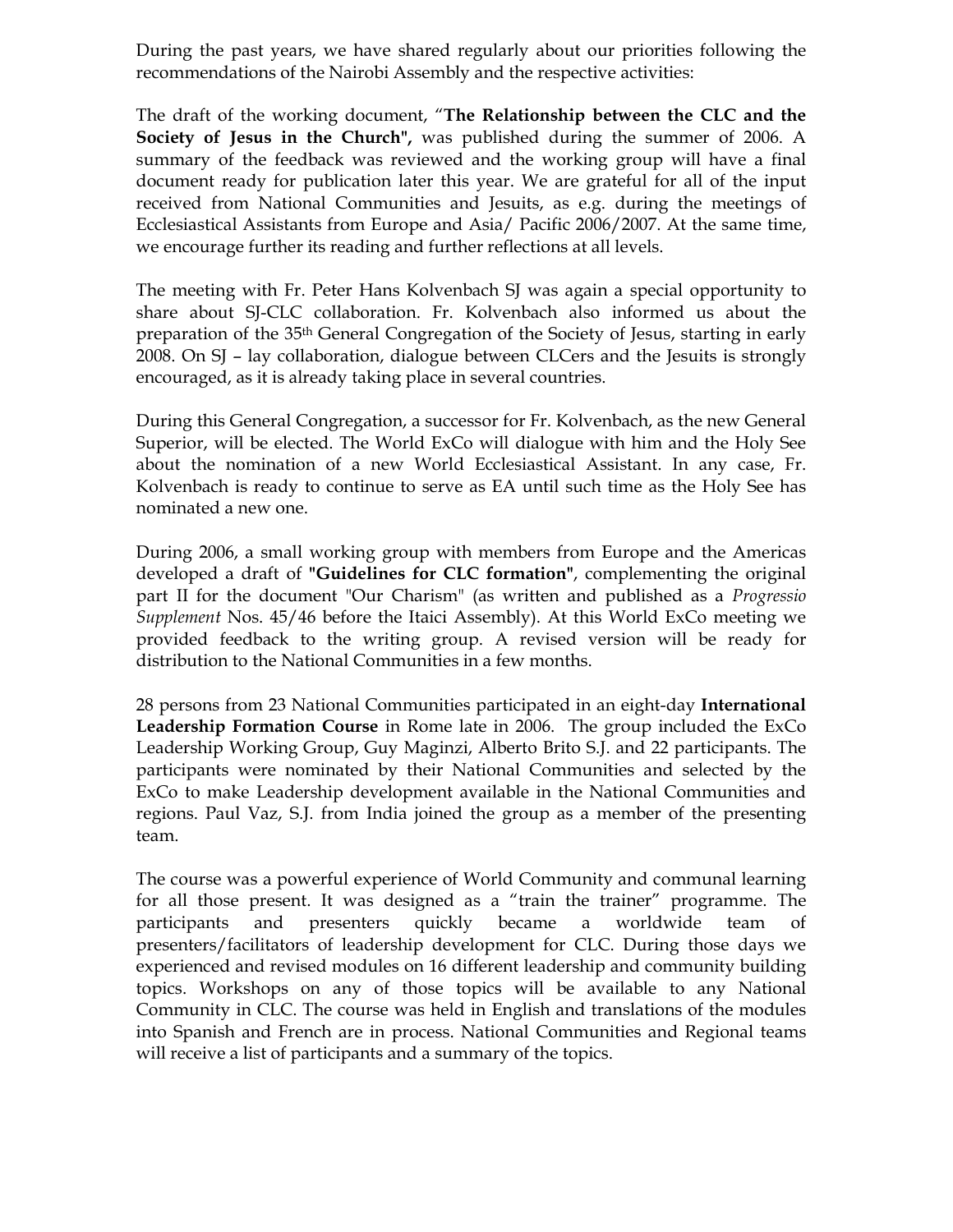During the past years, we have shared regularly about our priorities following the recommendations of the Nairobi Assembly and the respective activities:

The draft of the working document, "The Relationship between the CLC and the Society of Jesus in the Church", was published during the summer of 2006. A summary of the feedback was reviewed and the working group will have a final document ready for publication later this year. We are grateful for all of the input received from National Communities and Jesuits, as e.g. during the meetings of Ecclesiastical Assistants from Europe and Asia/ Pacific 2006/2007. At the same time, we encourage further its reading and further reflections at all levels.

The meeting with Fr. Peter Hans Kolvenbach SJ was again a special opportunity to share about SJ-CLC collaboration. Fr. Kolvenbach also informed us about the preparation of the 35th General Congregation of the Society of Jesus, starting in early 2008. On SJ – lay collaboration, dialogue between CLCers and the Jesuits is strongly encouraged, as it is already taking place in several countries.

During this General Congregation, a successor for Fr. Kolvenbach, as the new General Superior, will be elected. The World ExCo will dialogue with him and the Holy See about the nomination of a new World Ecclesiastical Assistant. In any case, Fr. Kolvenbach is ready to continue to serve as EA until such time as the Holy See has nominated a new one.

During 2006, a small working group with members from Europe and the Americas developed a draft of "Guidelines for CLC formation", complementing the original part II for the document "Our Charism" (as written and published as a Progressio Supplement Nos. 45/46 before the Itaici Assembly). At this World ExCo meeting we provided feedback to the writing group. A revised version will be ready for distribution to the National Communities in a few months.

28 persons from 23 National Communities participated in an eight-day International Leadership Formation Course in Rome late in 2006. The group included the ExCo Leadership Working Group, Guy Maginzi, Alberto Brito S.J. and 22 participants. The participants were nominated by their National Communities and selected by the ExCo to make Leadership development available in the National Communities and regions. Paul Vaz, S.J. from India joined the group as a member of the presenting team.

The course was a powerful experience of World Community and communal learning for all those present. It was designed as a "train the trainer" programme. The participants and presenters quickly became a worldwide team of presenters/facilitators of leadership development for CLC. During those days we experienced and revised modules on 16 different leadership and community building topics. Workshops on any of those topics will be available to any National Community in CLC. The course was held in English and translations of the modules into Spanish and French are in process. National Communities and Regional teams will receive a list of participants and a summary of the topics.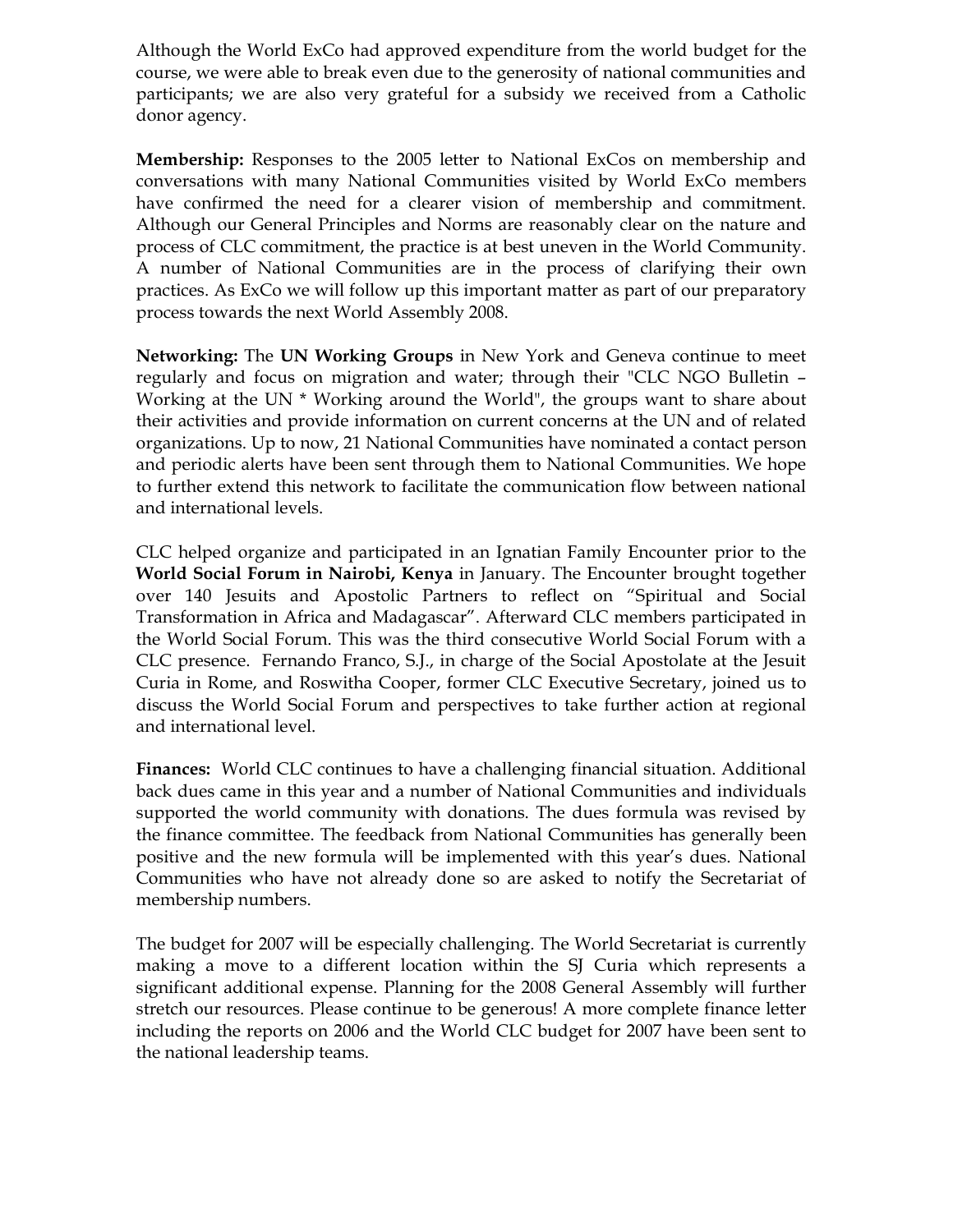Although the World ExCo had approved expenditure from the world budget for the course, we were able to break even due to the generosity of national communities and participants; we are also very grateful for a subsidy we received from a Catholic donor agency.

Membership: Responses to the 2005 letter to National ExCos on membership and conversations with many National Communities visited by World ExCo members have confirmed the need for a clearer vision of membership and commitment. Although our General Principles and Norms are reasonably clear on the nature and process of CLC commitment, the practice is at best uneven in the World Community. A number of National Communities are in the process of clarifying their own practices. As ExCo we will follow up this important matter as part of our preparatory process towards the next World Assembly 2008.

Networking: The UN Working Groups in New York and Geneva continue to meet regularly and focus on migration and water; through their "CLC NGO Bulletin – Working at the UN \* Working around the World", the groups want to share about their activities and provide information on current concerns at the UN and of related organizations. Up to now, 21 National Communities have nominated a contact person and periodic alerts have been sent through them to National Communities. We hope to further extend this network to facilitate the communication flow between national and international levels.

CLC helped organize and participated in an Ignatian Family Encounter prior to the World Social Forum in Nairobi, Kenya in January. The Encounter brought together over 140 Jesuits and Apostolic Partners to reflect on "Spiritual and Social Transformation in Africa and Madagascar". Afterward CLC members participated in the World Social Forum. This was the third consecutive World Social Forum with a CLC presence. Fernando Franco, S.J., in charge of the Social Apostolate at the Jesuit Curia in Rome, and Roswitha Cooper, former CLC Executive Secretary, joined us to discuss the World Social Forum and perspectives to take further action at regional and international level.

Finances: World CLC continues to have a challenging financial situation. Additional back dues came in this year and a number of National Communities and individuals supported the world community with donations. The dues formula was revised by the finance committee. The feedback from National Communities has generally been positive and the new formula will be implemented with this year's dues. National Communities who have not already done so are asked to notify the Secretariat of membership numbers.

The budget for 2007 will be especially challenging. The World Secretariat is currently making a move to a different location within the SJ Curia which represents a significant additional expense. Planning for the 2008 General Assembly will further stretch our resources. Please continue to be generous! A more complete finance letter including the reports on 2006 and the World CLC budget for 2007 have been sent to the national leadership teams.